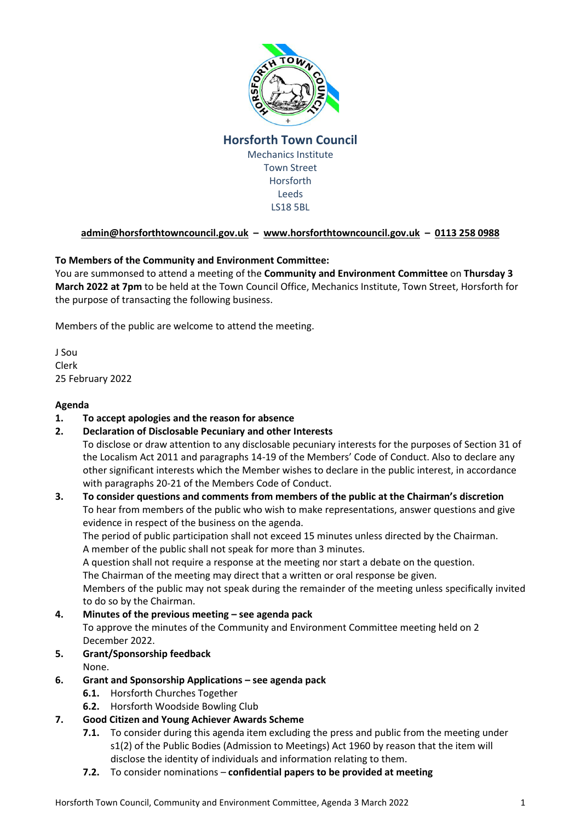

## **Horsforth Town Council** Mechanics Institute Town Street Horsforth Leeds LS18 5BL

# **[admin@horsforthtowncouncil.gov.uk](mailto:admin@horsforthtowncouncil.gov.uk) – [www.horsforthtowncouncil.gov.uk](http://www.horsforthtowncouncil.gov.uk/) – 0113 258 0988**

## **To Members of the Community and Environment Committee:**

You are summonsed to attend a meeting of the **Community and Environment Committee** on **Thursday 3 March 2022 at 7pm** to be held at the Town Council Office, Mechanics Institute, Town Street, Horsforth for the purpose of transacting the following business.

Members of the public are welcome to attend the meeting.

J Sou Clerk 25 February 2022

#### **Agenda**

- **1. To accept apologies and the reason for absence**
- **2. Declaration of Disclosable Pecuniary and other Interests**

To disclose or draw attention to any disclosable pecuniary interests for the purposes of Section 31 of the Localism Act 2011 and paragraphs 14-19 of the Members' Code of Conduct. Also to declare any other significant interests which the Member wishes to declare in the public interest, in accordance with paragraphs 20-21 of the Members Code of Conduct.

# **3. To consider questions and comments from members of the public at the Chairman's discretion** To hear from members of the public who wish to make representations, answer questions and give evidence in respect of the business on the agenda.

The period of public participation shall not exceed 15 minutes unless directed by the Chairman. A member of the public shall not speak for more than 3 minutes.

A question shall not require a response at the meeting nor start a debate on the question.

The Chairman of the meeting may direct that a written or oral response be given.

Members of the public may not speak during the remainder of the meeting unless specifically invited to do so by the Chairman.

#### **4. Minutes of the previous meeting – see agenda pack**

To approve the minutes of the Community and Environment Committee meeting held on 2 December 2022.

## **5. Grant/Sponsorship feedback**

None.

#### **6. Grant and Sponsorship Applications – see agenda pack**

- **6.1.** Horsforth Churches Together
- **6.2.** Horsforth Woodside Bowling Club

## **7. Good Citizen and Young Achiever Awards Scheme**

- **7.1.** To consider during this agenda item excluding the press and public from the meeting under s1(2) of the Public Bodies (Admission to Meetings) Act 1960 by reason that the item will disclose the identity of individuals and information relating to them.
- **7.2.** To consider nominations **confidential papers to be provided at meeting**